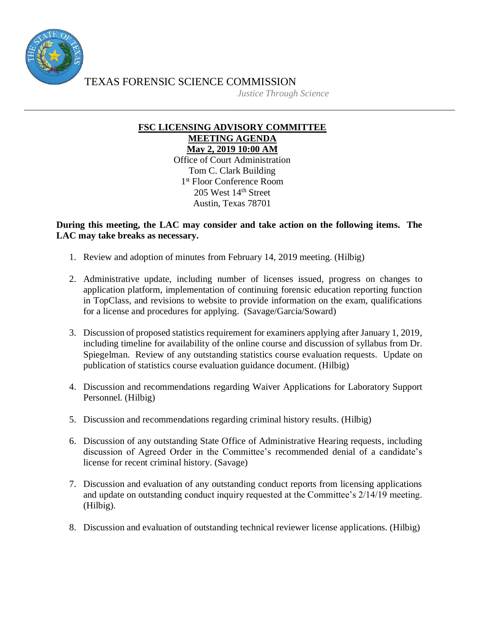

TEXAS FORENSIC SCIENCE COMMISSION

*Justice Through Science*

## **FSC LICENSING ADVISORY COMMITTEE MEETING AGENDA May 2, 2019 10:00 AM**

Office of Court Administration Tom C. Clark Building 1 st Floor Conference Room 205 West 14th Street Austin, Texas 78701

## **During this meeting, the LAC may consider and take action on the following items. The LAC may take breaks as necessary.**

- 1. Review and adoption of minutes from February 14, 2019 meeting. (Hilbig)
- 2. Administrative update, including number of licenses issued, progress on changes to application platform, implementation of continuing forensic education reporting function in TopClass, and revisions to website to provide information on the exam, qualifications for a license and procedures for applying. (Savage/Garcia/Soward)
- 3. Discussion of proposed statistics requirement for examiners applying after January 1, 2019, including timeline for availability of the online course and discussion of syllabus from Dr. Spiegelman. Review of any outstanding statistics course evaluation requests. Update on publication of statistics course evaluation guidance document. (Hilbig)
- 4. Discussion and recommendations regarding Waiver Applications for Laboratory Support Personnel. (Hilbig)
- 5. Discussion and recommendations regarding criminal history results. (Hilbig)
- 6. Discussion of any outstanding State Office of Administrative Hearing requests, including discussion of Agreed Order in the Committee's recommended denial of a candidate's license for recent criminal history. (Savage)
- 7. Discussion and evaluation of any outstanding conduct reports from licensing applications and update on outstanding conduct inquiry requested at the Committee's 2/14/19 meeting. (Hilbig).
- 8. Discussion and evaluation of outstanding technical reviewer license applications. (Hilbig)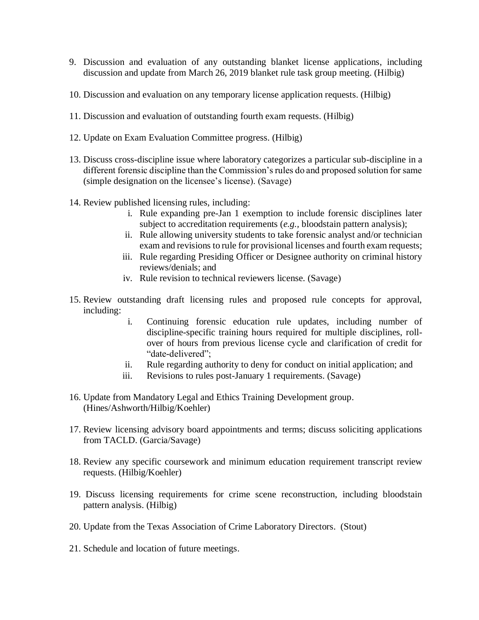- 9. Discussion and evaluation of any outstanding blanket license applications, including discussion and update from March 26, 2019 blanket rule task group meeting. (Hilbig)
- 10. Discussion and evaluation on any temporary license application requests. (Hilbig)
- 11. Discussion and evaluation of outstanding fourth exam requests. (Hilbig)
- 12. Update on Exam Evaluation Committee progress. (Hilbig)
- 13. Discuss cross-discipline issue where laboratory categorizes a particular sub-discipline in a different forensic discipline than the Commission's rules do and proposed solution for same (simple designation on the licensee's license). (Savage)
- 14. Review published licensing rules, including:
	- i. Rule expanding pre-Jan 1 exemption to include forensic disciplines later subject to accreditation requirements (*e.g.,* bloodstain pattern analysis);
	- ii. Rule allowing university students to take forensic analyst and/or technician exam and revisions to rule for provisional licenses and fourth exam requests;
	- iii. Rule regarding Presiding Officer or Designee authority on criminal history reviews/denials; and
	- iv. Rule revision to technical reviewers license. (Savage)
- 15. Review outstanding draft licensing rules and proposed rule concepts for approval, including:
	- i. Continuing forensic education rule updates, including number of discipline-specific training hours required for multiple disciplines, rollover of hours from previous license cycle and clarification of credit for "date-delivered";
	- ii. Rule regarding authority to deny for conduct on initial application; and
	- iii. Revisions to rules post-January 1 requirements. (Savage)
- 16. Update from Mandatory Legal and Ethics Training Development group. (Hines/Ashworth/Hilbig/Koehler)
- 17. Review licensing advisory board appointments and terms; discuss soliciting applications from TACLD. (Garcia/Savage)
- 18. Review any specific coursework and minimum education requirement transcript review requests. (Hilbig/Koehler)
- 19. Discuss licensing requirements for crime scene reconstruction, including bloodstain pattern analysis. (Hilbig)
- 20. Update from the Texas Association of Crime Laboratory Directors. (Stout)
- 21. Schedule and location of future meetings.